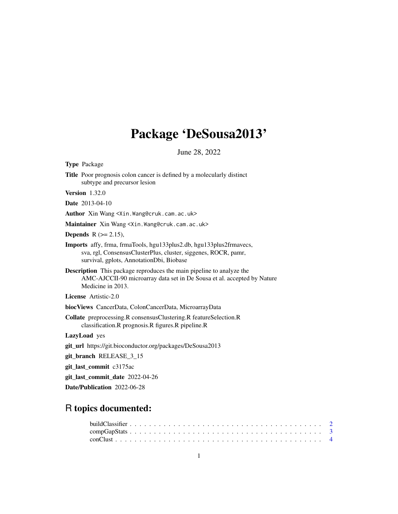# Package 'DeSousa2013'

June 28, 2022

<span id="page-0-0"></span>

| Type Package                                                                                                                                                                             |
|------------------------------------------------------------------------------------------------------------------------------------------------------------------------------------------|
| Title Poor prognosis colon cancer is defined by a molecularly distinct<br>subtype and precursor lesion                                                                                   |
| <b>Version</b> 1.32.0                                                                                                                                                                    |
| <b>Date</b> 2013-04-10                                                                                                                                                                   |
| Author Xin Wang <xin. wang@cruk.cam.ac.uk=""></xin.>                                                                                                                                     |
| Maintainer Xin Wang <xin. wang@cruk.cam.ac.uk=""></xin.>                                                                                                                                 |
| <b>Depends</b> $R (= 2.15)$ ,                                                                                                                                                            |
| <b>Imports</b> affy, frma, frmaTools, hgu133plus2.db, hgu133plus2frmavecs,<br>sva, rgl, ConsensusClusterPlus, cluster, siggenes, ROCR, pamr,<br>survival, gplots, AnnotationDbi, Biobase |
| <b>Description</b> This package reproduces the main pipeline to analyze the<br>AMC-AJCCII-90 microarray data set in De Sousa et al. accepted by Nature<br>Medicine in 2013.              |
| <b>License</b> Artistic-2.0                                                                                                                                                              |
| biocViews CancerData, ColonCancerData, MicroarrayData                                                                                                                                    |
| Collate preprocessing.R consensusClustering.R featureSelection.R<br>classification.R prognosis.R figures.R pipeline.R                                                                    |
| LazyLoad yes                                                                                                                                                                             |
| git_url https://git.bioconductor.org/packages/DeSousa2013                                                                                                                                |
| git_branch RELEASE_3_15                                                                                                                                                                  |
| git_last_commit c3175ac                                                                                                                                                                  |
| git_last_commit_date 2022-04-26                                                                                                                                                          |
| Date/Publication 2022-06-28                                                                                                                                                              |
|                                                                                                                                                                                          |

## R topics documented: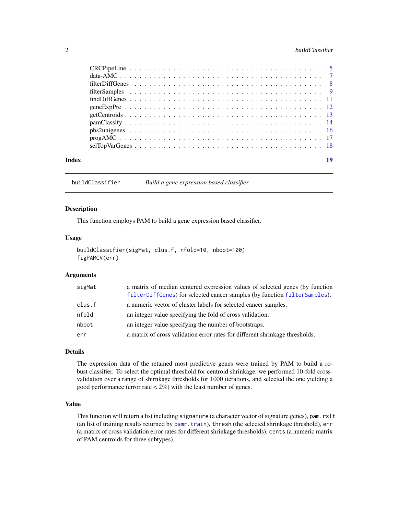#### <span id="page-1-0"></span>2 buildClassifier **buildClassifier**

| Index | 19 |
|-------|----|

<span id="page-1-1"></span>buildClassifier *Build a gene expression based classifier*

#### Description

This function employs PAM to build a gene expression based classifier.

#### Usage

```
buildClassifier(sigMat, clus.f, nfold=10, nboot=100)
figPAMCV(err)
```
#### Arguments

| sigMat | a matrix of median centered expression values of selected genes (by function<br>filterDiffGenes) for selected cancer samples (by function filterSamples). |
|--------|-----------------------------------------------------------------------------------------------------------------------------------------------------------|
| clus.f | a numeric vector of cluster labels for selected cancer samples.                                                                                           |
| nfold  | an integer value specifying the fold of cross validation.                                                                                                 |
| nboot  | an integer value specifying the number of bootstraps.                                                                                                     |
| err    | a matrix of cross validation error rates for different shrinkage thresholds.                                                                              |

#### Details

The expression data of the retained most predictive genes were trained by PAM to build a robust classifier. To select the optimal threshold for centroid shrinkage, we performed 10-fold crossvalidation over a range of shirnkage thresholds for 1000 iterations, and selected the one yielding a good performance (error rate  $\langle 2\% \rangle$  with the least number of genes.

#### Value

This function will return a list including signature (a character vector of signature genes), pam.rslt (an list of training results returned by [pamr.train](#page-0-0)), thresh (the selected shrinkage threshold), err (a matrix of cross validation error rates for different shrinkage thresholds), cents (a numeric matrix of PAM centroids for three subtypes).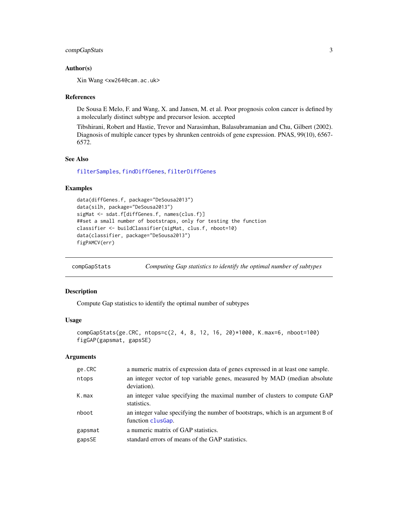#### <span id="page-2-0"></span>compGapStats 3

#### Author(s)

Xin Wang <xw264@cam.ac.uk>

#### References

De Sousa E Melo, F. and Wang, X. and Jansen, M. et al. Poor prognosis colon cancer is defined by a molecularly distinct subtype and precursor lesion. accepted

Tibshirani, Robert and Hastie, Trevor and Narasimhan, Balasubramanian and Chu, Gilbert (2002). Diagnosis of multiple cancer types by shrunken centroids of gene expression. PNAS, 99(10), 6567- 6572.

#### See Also

[filterSamples](#page-8-1), [findDiffGenes](#page-10-1), [filterDiffGenes](#page-7-1)

#### Examples

```
data(diffGenes.f, package="DeSousa2013")
data(silh, package="DeSousa2013")
sigMat <- sdat.f[diffGenes.f, names(clus.f)]
##set a small number of bootstraps, only for testing the function
classifier <- buildClassifier(sigMat, clus.f, nboot=10)
data(classifier, package="DeSousa2013")
figPAMCV(err)
```
<span id="page-2-1"></span>compGapStats *Computing Gap statistics to identify the optimal number of subtypes*

#### Description

Compute Gap statistics to identify the optimal number of subtypes

#### Usage

```
compGapStats(ge.CRC, ntops=c(2, 4, 8, 12, 16, 20)*1000, K.max=6, nboot=100)
figGAP(gapsmat, gapsSE)
```
#### Arguments

| ge.CRC  | a numeric matrix of expression data of genes expressed in at least one sample.                       |
|---------|------------------------------------------------------------------------------------------------------|
| ntops   | an integer vector of top variable genes, measured by MAD (median absolute<br>deviation).             |
| K.max   | an integer value specifying the maximal number of clusters to compute GAP<br>statistics.             |
| nboot   | an integer value specifying the number of bootstraps, which is an argument B of<br>function clusGap. |
| gapsmat | a numeric matrix of GAP statistics.                                                                  |
| gapsSE  | standard errors of means of the GAP statistics.                                                      |
|         |                                                                                                      |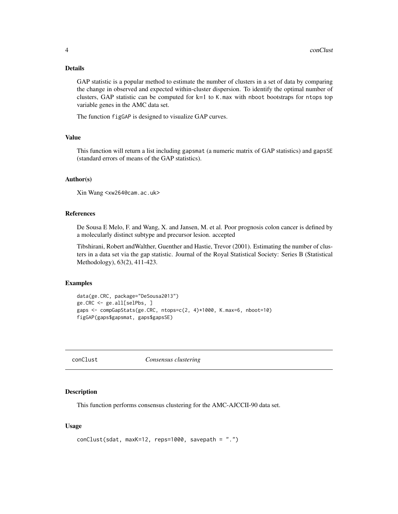#### <span id="page-3-0"></span>Details

GAP statistic is a popular method to estimate the number of clusters in a set of data by comparing the change in observed and expected within-cluster dispersion. To identify the optimal number of clusters, GAP statistic can be computed for k=1 to K.max with nboot bootstraps for ntops top variable genes in the AMC data set.

The function figGAP is designed to visualize GAP curves.

#### Value

This function will return a list including gapsmat (a numeric matrix of GAP statistics) and gapsSE (standard errors of means of the GAP statistics).

#### Author(s)

```
Xin Wang <xw264@cam.ac.uk>
```
#### References

De Sousa E Melo, F. and Wang, X. and Jansen, M. et al. Poor prognosis colon cancer is defined by a molecularly distinct subtype and precursor lesion. accepted

Tibshirani, Robert andWalther, Guenther and Hastie, Trevor (2001). Estimating the number of clusters in a data set via the gap statistic. Journal of the Royal Statistical Society: Series B (Statistical Methodology), 63(2), 411-423.

#### Examples

```
data(ge.CRC, package="DeSousa2013")
ge.CRC <- ge.all[selPbs, ]
gaps <- compGapStats(ge.CRC, ntops=c(2, 4)*1000, K.max=6, nboot=10)
figGAP(gaps$gapsmat, gaps$gapsSE)
```
<span id="page-3-1"></span>conClust *Consensus clustering*

#### Description

This function performs consensus clustering for the AMC-AJCCII-90 data set.

#### Usage

```
conClust(sdat, maxK=12, reps=1000, savepath = ".")
```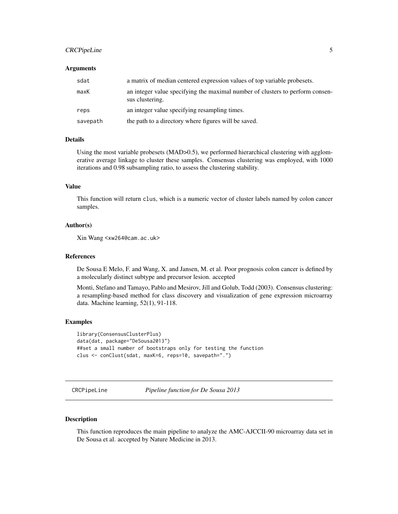#### <span id="page-4-0"></span>CRCPipeLine 5

#### Arguments

| sdat     | a matrix of median centered expression values of top variable probesets.                         |
|----------|--------------------------------------------------------------------------------------------------|
| maxK     | an integer value specifying the maximal number of clusters to perform consen-<br>sus clustering. |
| reps     | an integer value specifying resampling times.                                                    |
| savepath | the path to a directory where figures will be saved.                                             |

#### Details

Using the most variable probesets (MAD>0.5), we performed hierarchical clustering with agglomerative average linkage to cluster these samples. Consensus clustering was employed, with 1000 iterations and 0.98 subsampling ratio, to assess the clustering stability.

#### Value

This function will return clus, which is a numeric vector of cluster labels named by colon cancer samples.

#### Author(s)

Xin Wang <xw264@cam.ac.uk>

#### References

De Sousa E Melo, F. and Wang, X. and Jansen, M. et al. Poor prognosis colon cancer is defined by a molecularly distinct subtype and precursor lesion. accepted

Monti, Stefano and Tamayo, Pablo and Mesirov, Jill and Golub, Todd (2003). Consensus clustering: a resampling-based method for class discovery and visualization of gene expression microarray data. Machine learning, 52(1), 91-118.

#### Examples

```
library(ConsensusClusterPlus)
data(dat, package="DeSousa2013")
##set a small number of bootstraps only for testing the function
clus <- conClust(sdat, maxK=6, reps=10, savepath=".")
```
CRCPipeLine *Pipeline function for De Sousa 2013*

#### Description

This function reproduces the main pipeline to analyze the AMC-AJCCII-90 microarray data set in De Sousa et al. accepted by Nature Medicine in 2013.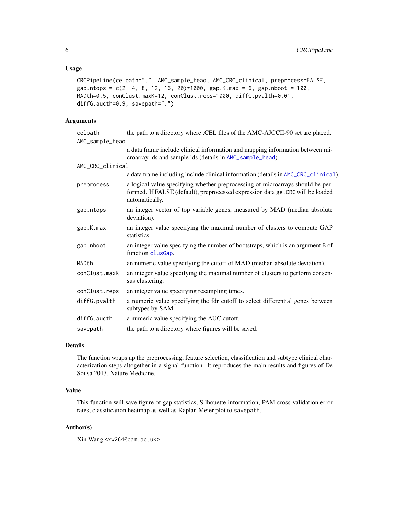#### <span id="page-5-0"></span>Usage

```
CRCPipeLine(celpath=".", AMC_sample_head, AMC_CRC_clinical, preprocess=FALSE,
gap.ntops = c(2, 4, 8, 12, 16, 20)*1000, gap.K.max = 6, gap.nboot = 100,
MADth=0.5, conClust.maxK=12, conClust.reps=1000, diffG.pvalth=0.01,
diffG.aucth=0.9, savepath=".")
```
#### Arguments

| celpath          | the path to a directory where .CEL files of the AMC-AJCCII-90 set are placed.                                                                                                       |
|------------------|-------------------------------------------------------------------------------------------------------------------------------------------------------------------------------------|
| AMC_sample_head  |                                                                                                                                                                                     |
|                  | a data frame include clinical information and mapping information between mi-<br>croarray ids and sample ids (details in AMC_sample_head).                                          |
| AMC_CRC_clinical |                                                                                                                                                                                     |
|                  | a data frame including include clinical information (details in AMC_CRC_clinical).                                                                                                  |
| preprocess       | a logical value specifying whether preprocessing of microarrays should be per-<br>formed. If FALSE (default), preprocessed expression data ge. CRC will be loaded<br>automatically. |
| gap.ntops        | an integer vector of top variable genes, measured by MAD (median absolute<br>deviation).                                                                                            |
| gap.K.max        | an integer value specifying the maximal number of clusters to compute GAP<br>statistics.                                                                                            |
| gap.nboot        | an integer value specifying the number of bootstraps, which is an argument B of<br>function clusGap.                                                                                |
| MADth            | an numeric value specifying the cutoff of MAD (median absolute deviation).                                                                                                          |
| conClust.maxK    | an integer value specifying the maximal number of clusters to perform consen-<br>sus clustering.                                                                                    |
| conClust.reps    | an integer value specifying resampling times.                                                                                                                                       |
| diffG.pvalth     | a numeric value specifying the fdr cutoff to select differential genes between<br>subtypes by SAM.                                                                                  |
| diffG.aucth      | a numeric value specifying the AUC cutoff.                                                                                                                                          |
| savepath         | the path to a directory where figures will be saved.                                                                                                                                |

#### Details

The function wraps up the preprocessing, feature selection, classification and subtype clinical characterization steps altogether in a signal function. It reproduces the main results and figures of De Sousa 2013, Nature Medicine.

#### Value

This function will save figure of gap statistics, Silhouette information, PAM cross-validation error rates, classification heatmap as well as Kaplan Meier plot to savepath.

#### Author(s)

Xin Wang <xw264@cam.ac.uk>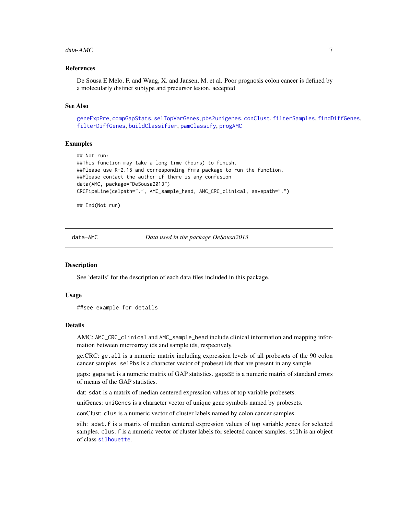#### <span id="page-6-0"></span> $data\text{-}AMC$  7

#### References

De Sousa E Melo, F. and Wang, X. and Jansen, M. et al. Poor prognosis colon cancer is defined by a molecularly distinct subtype and precursor lesion. accepted

#### See Also

[geneExpPre](#page-11-1), [compGapStats](#page-2-1), [selTopVarGenes](#page-17-1), [pbs2unigenes](#page-15-1), [conClust](#page-3-1), [filterSamples](#page-8-1), [findDiffGenes](#page-10-1), [filterDiffGenes](#page-7-1), [buildClassifier](#page-1-1), [pamClassify](#page-13-1), [progAMC](#page-16-1)

#### Examples

```
## Not run:
##This function may take a long time (hours) to finish.
##Please use R-2.15 and corresponding frma package to run the function.
##Please contact the author if there is any confusion
data(AMC, package="DeSousa2013")
CRCPipeLine(celpath=".", AMC_sample_head, AMC_CRC_clinical, savepath=".")
```
## End(Not run)

data-AMC *Data used in the package DeSousa2013*

#### <span id="page-6-1"></span>**Description**

See 'details' for the description of each data files included in this package.

#### Usage

```
##see example for details
```
#### Details

AMC: AMC\_CRC\_clinical and AMC\_sample\_head include clinical information and mapping information between microarray ids and sample ids, respectively.

ge.CRC: ge.all is a numeric matrix including expression levels of all probesets of the 90 colon cancer samples. selPbs is a character vector of probeset ids that are present in any sample.

gaps: gapsmat is a numeric matrix of GAP statistics. gapsSE is a numeric matrix of standard errors of means of the GAP statistics.

dat: sdat is a matrix of median centered expression values of top variable probesets.

uniGenes: uniGenes is a character vector of unique gene symbols named by probesets.

conClust: clus is a numeric vector of cluster labels named by colon cancer samples.

silh: sdat.f is a matrix of median centered expression values of top variable genes for selected samples. clus. f is a numeric vector of cluster labels for selected cancer samples. silh is an object of class [silhouette](#page-0-0).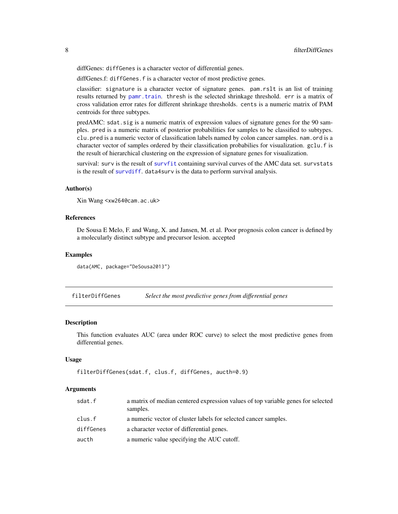<span id="page-7-0"></span>diffGenes: diffGenes is a character vector of differential genes.

diffGenes.f: diffGenes.f is a character vector of most predictive genes.

classifier: signature is a character vector of signature genes. pam.rslt is an list of training results returned by [pamr.train](#page-0-0). thresh is the selected shrinkage threshold. err is a matrix of cross validation error rates for different shrinkage thresholds. cents is a numeric matrix of PAM centroids for three subtypes.

predAMC: sdat.sig is a numeric matrix of expression values of signature genes for the 90 samples. pred is a numeric matrix of posterior probabilities for samples to be classified to subtypes. clu.pred is a numeric vector of classification labels named by colon cancer samples. nam.ord is a character vector of samples ordered by their classification probabilies for visualization. gclu.f is the result of hierarchical clustering on the expression of signature genes for visualization.

survival: surv is the result of [survfit](#page-0-0) containing survival curves of the AMC data set. survstats is the result of [survdiff](#page-0-0). data4surv is the data to perform survival analysis.

#### Author(s)

```
Xin Wang <xw264@cam.ac.uk>
```
#### References

De Sousa E Melo, F. and Wang, X. and Jansen, M. et al. Poor prognosis colon cancer is defined by a molecularly distinct subtype and precursor lesion. accepted

#### Examples

```
data(AMC, package="DeSousa2013")
```
<span id="page-7-1"></span>filterDiffGenes *Select the most predictive genes from differential genes*

#### **Description**

This function evaluates AUC (area under ROC curve) to select the most predictive genes from differential genes.

#### Usage

```
filterDiffGenes(sdat.f, clus.f, diffGenes, aucth=0.9)
```
#### Arguments

| sdat.f    | a matrix of median centered expression values of top variable genes for selected<br>samples. |
|-----------|----------------------------------------------------------------------------------------------|
| clus.f    | a numeric vector of cluster labels for selected cancer samples.                              |
| diffGenes | a character vector of differential genes.                                                    |
| aucth     | a numeric value specifying the AUC cutoff.                                                   |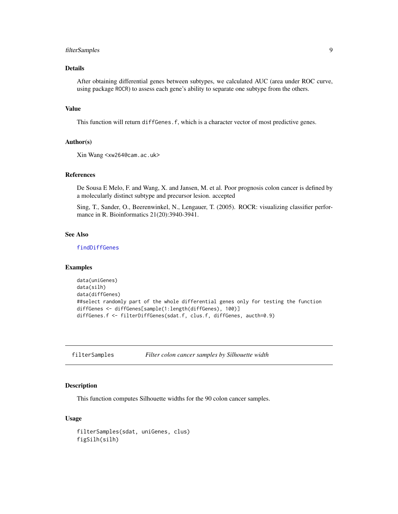#### <span id="page-8-0"></span>filterSamples 9

#### Details

After obtaining differential genes between subtypes, we calculated AUC (area under ROC curve, using package ROCR) to assess each gene's ability to separate one subtype from the others.

#### Value

This function will return diffGenes.f, which is a character vector of most predictive genes.

#### Author(s)

Xin Wang <xw264@cam.ac.uk>

#### References

De Sousa E Melo, F. and Wang, X. and Jansen, M. et al. Poor prognosis colon cancer is defined by a molecularly distinct subtype and precursor lesion. accepted

Sing, T., Sander, O., Beerenwinkel, N., Lengauer, T. (2005). ROCR: visualizing classifier performance in R. Bioinformatics 21(20):3940-3941.

#### See Also

[findDiffGenes](#page-10-1)

#### Examples

```
data(uniGenes)
data(silh)
data(diffGenes)
##select randomly part of the whole differential genes only for testing the function
diffGenes <- diffGenes[sample(1:length(diffGenes), 100)]
diffGenes.f <- filterDiffGenes(sdat.f, clus.f, diffGenes, aucth=0.9)
```
<span id="page-8-1"></span>filterSamples *Filter colon cancer samples by Silhouette width*

#### Description

This function computes Silhouette widths for the 90 colon cancer samples.

#### Usage

```
filterSamples(sdat, uniGenes, clus)
figSilh(silh)
```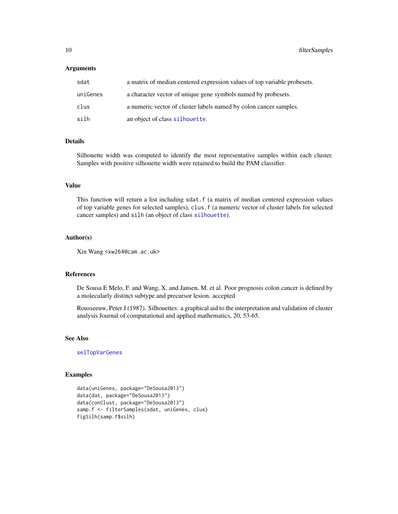#### <span id="page-9-0"></span>**Arguments**

| sdat     | a matrix of median centered expression values of top variable probesets. |
|----------|--------------------------------------------------------------------------|
| uniGenes | a character vector of unique gene symbols named by probesets.            |
| clus     | a numeric vector of cluster labels named by colon cancer samples.        |
| silh     | an object of class silhouette.                                           |

#### Details

Silhouette width was computed to identify the most representative samples within each cluster. Samples with positive silhouette width were retained to build the PAM classifier.

#### Value

This function will return a list including sdat. f (a matrix of median centered expression values of top variable genes for selected samples), clus.f (a numeric vector of cluster labels for selected cancer samples) and silh (an object of class [silhouette](#page-0-0)).

#### Author(s)

Xin Wang <xw264@cam.ac.uk>

#### References

De Sousa E Melo, F. and Wang, X. and Jansen, M. et al. Poor prognosis colon cancer is defined by a molecularly distinct subtype and precursor lesion. accepted

Rousseeuw, Peter J (1987). Silhouettes: a graphical aid to the interpretation and validation of cluster analysis Journal of computational and applied mathematics, 20, 53-65.

#### See Also

[selTopVarGenes](#page-17-1)

```
data(uniGenes, package="DeSousa2013")
data(dat, package="DeSousa2013")
data(conClust, package="DeSousa2013")
samp.f <- filterSamples(sdat, uniGenes, clus)
figSilh(samp.f$silh)
```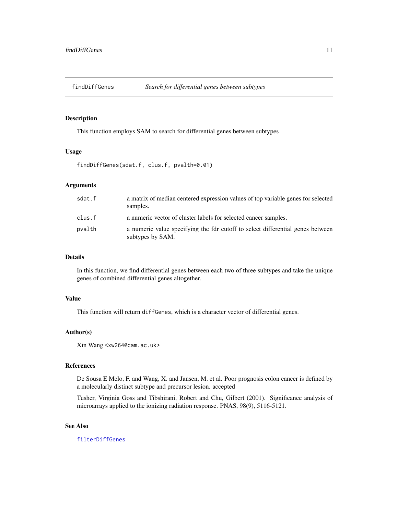<span id="page-10-1"></span><span id="page-10-0"></span>

#### Description

This function employs SAM to search for differential genes between subtypes

#### Usage

findDiffGenes(sdat.f, clus.f, pvalth=0.01)

#### Arguments

| sdat.f | a matrix of median centered expression values of top variable genes for selected<br>samples.       |
|--------|----------------------------------------------------------------------------------------------------|
| clus.f | a numeric vector of cluster labels for selected cancer samples.                                    |
| pvalth | a numeric value specifying the fdr cutoff to select differential genes between<br>subtypes by SAM. |

#### Details

In this function, we find differential genes between each two of three subtypes and take the unique genes of combined differential genes altogether.

#### Value

This function will return diffGenes, which is a character vector of differential genes.

#### Author(s)

Xin Wang <xw264@cam.ac.uk>

#### References

De Sousa E Melo, F. and Wang, X. and Jansen, M. et al. Poor prognosis colon cancer is defined by a molecularly distinct subtype and precursor lesion. accepted

Tusher, Virginia Goss and Tibshirani, Robert and Chu, Gilbert (2001). Significance analysis of microarrays applied to the ionizing radiation response. PNAS, 98(9), 5116-5121.

#### See Also

[filterDiffGenes](#page-7-1)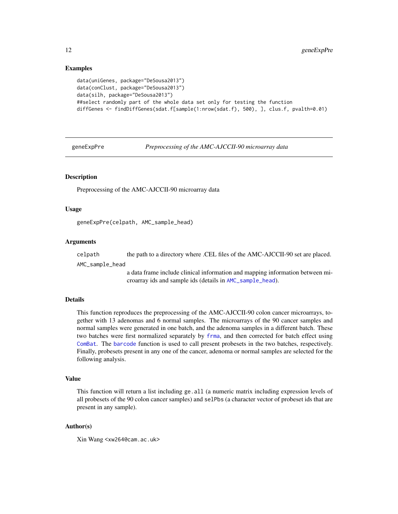#### Examples

```
data(uniGenes, package="DeSousa2013")
data(conClust, package="DeSousa2013")
data(silh, package="DeSousa2013")
##select randomly part of the whole data set only for testing the function
diffGenes <- findDiffGenes(sdat.f[sample(1:nrow(sdat.f), 500), ], clus.f, pvalth=0.01)
```
<span id="page-11-1"></span>geneExpPre *Preprocessing of the AMC-AJCCII-90 microarray data*

#### Description

Preprocessing of the AMC-AJCCII-90 microarray data

#### Usage

geneExpPre(celpath, AMC\_sample\_head)

#### Arguments

celpath the path to a directory where .CEL files of the AMC-AJCCII-90 set are placed.

AMC\_sample\_head

a data frame include clinical information and mapping information between microarray ids and sample ids (details in [AMC\\_sample\\_head](#page-6-1)).

#### Details

This function reproduces the preprocessing of the AMC-AJCCII-90 colon cancer microarrays, together with 13 adenomas and 6 normal samples. The microarrays of the 90 cancer samples and normal samples were generated in one batch, and the adenoma samples in a different batch. These two batches were first normalized separately by [frma](#page-0-0), and then corrected for batch effect using [ComBat](#page-0-0). The [barcode](#page-0-0) function is used to call present probesets in the two batches, respectively. Finally, probesets present in any one of the cancer, adenoma or normal samples are selected for the following analysis.

#### Value

This function will return a list including ge. all (a numeric matrix including expression levels of all probesets of the 90 colon cancer samples) and selPbs (a character vector of probeset ids that are present in any sample).

#### Author(s)

Xin Wang <xw264@cam.ac.uk>

<span id="page-11-0"></span>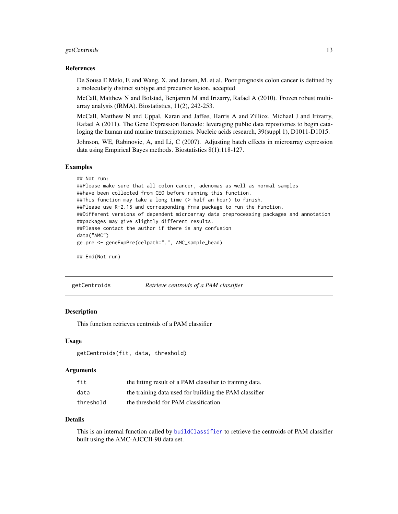#### <span id="page-12-0"></span>getCentroids 13

#### References

De Sousa E Melo, F. and Wang, X. and Jansen, M. et al. Poor prognosis colon cancer is defined by a molecularly distinct subtype and precursor lesion. accepted

McCall, Matthew N and Bolstad, Benjamin M and Irizarry, Rafael A (2010). Frozen robust multiarray analysis (fRMA). Biostatistics, 11(2), 242-253.

McCall, Matthew N and Uppal, Karan and Jaffee, Harris A and Zilliox, Michael J and Irizarry, Rafael A (2011). The Gene Expression Barcode: leveraging public data repositories to begin cataloging the human and murine transcriptomes. Nucleic acids research, 39(suppl 1), D1011-D1015.

Johnson, WE, Rabinovic, A, and Li, C (2007). Adjusting batch effects in microarray expression data using Empirical Bayes methods. Biostatistics 8(1):118-127.

#### Examples

```
## Not run:
##Please make sure that all colon cancer, adenomas as well as normal samples
##have been collected from GEO before running this function.
##This function may take a long time (> half an hour) to finish.
##Please use R-2.15 and corresponding frma package to run the function.
##Different versions of dependent microarray data preprocessing packages and annotation
##packages may give slightly different results.
##Please contact the author if there is any confusion
data("AMC")
ge.pre <- geneExpPre(celpath=".", AMC_sample_head)
```
## End(Not run)

<span id="page-12-1"></span>getCentroids *Retrieve centroids of a PAM classifier*

#### **Description**

This function retrieves centroids of a PAM classifier

#### Usage

getCentroids(fit, data, threshold)

#### **Arguments**

| fit       | the fitting result of a PAM classifier to training data. |
|-----------|----------------------------------------------------------|
| data      | the training data used for building the PAM classifier   |
| threshold | the threshold for PAM classification                     |

#### Details

This is an internal function called by [buildClassifier](#page-1-1) to retrieve the centroids of PAM classifier built using the AMC-AJCCII-90 data set.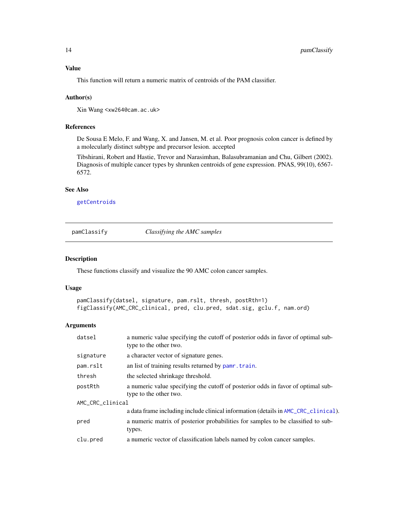#### <span id="page-13-0"></span>Value

This function will return a numeric matrix of centroids of the PAM classifier.

#### Author(s)

Xin Wang <xw264@cam.ac.uk>

#### References

De Sousa E Melo, F. and Wang, X. and Jansen, M. et al. Poor prognosis colon cancer is defined by a molecularly distinct subtype and precursor lesion. accepted

Tibshirani, Robert and Hastie, Trevor and Narasimhan, Balasubramanian and Chu, Gilbert (2002). Diagnosis of multiple cancer types by shrunken centroids of gene expression. PNAS, 99(10), 6567- 6572.

### See Also

[getCentroids](#page-12-1)

<span id="page-13-1"></span>pamClassify *Classifying the AMC samples*

#### Description

These functions classify and visualize the 90 AMC colon cancer samples.

#### Usage

```
pamClassify(datsel, signature, pam.rslt, thresh, postRth=1)
figClassify(AMC_CRC_clinical, pred, clu.pred, sdat.sig, gclu.f, nam.ord)
```
#### Arguments

| datsel           | a numeric value specifying the cutoff of posterior odds in favor of optimal sub-<br>type to the other two. |  |  |  |  |  |
|------------------|------------------------------------------------------------------------------------------------------------|--|--|--|--|--|
| signature        | a character vector of signature genes.                                                                     |  |  |  |  |  |
| pam.rslt         | an list of training results returned by pamr. train.                                                       |  |  |  |  |  |
| thresh           | the selected shrinkage threshold.                                                                          |  |  |  |  |  |
| postRth          | a numeric value specifying the cutoff of posterior odds in favor of optimal sub-<br>type to the other two. |  |  |  |  |  |
| AMC_CRC_clinical |                                                                                                            |  |  |  |  |  |
|                  | a data frame including include clinical information (details in AMC_CRC_clinical).                         |  |  |  |  |  |
| pred             | a numeric matrix of posterior probabilities for samples to be classified to sub-<br>types.                 |  |  |  |  |  |
| clu.pred         | a numeric vector of classification labels named by colon cancer samples.                                   |  |  |  |  |  |
|                  |                                                                                                            |  |  |  |  |  |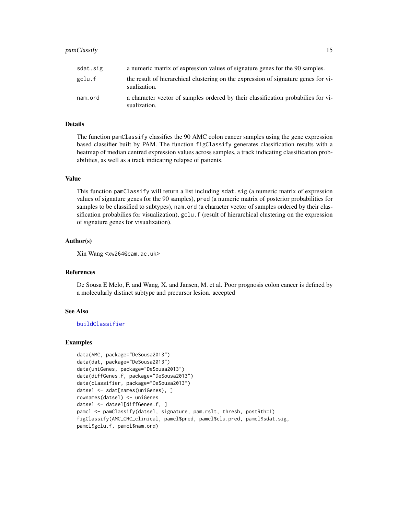#### <span id="page-14-0"></span>pamClassify 15

| sdat.sig | a numeric matrix of expression values of signature genes for the 90 samples.                       |
|----------|----------------------------------------------------------------------------------------------------|
| gclu.f   | the result of hierarchical clustering on the expression of signature genes for vi-<br>sualization. |
| nam.ord  | a character vector of samples ordered by their classification probabilies for vi-<br>sualization.  |

#### Details

The function pamClassify classifies the 90 AMC colon cancer samples using the gene expression based classifier built by PAM. The function figClassify generates classification results with a heatmap of median centred expression values across samples, a track indicating classification probabilities, as well as a track indicating relapse of patients.

#### Value

This function pamClassify will return a list including sdat.sig (a numeric matrix of expression values of signature genes for the 90 samples), pred (a numeric matrix of posterior probabilities for samples to be classified to subtypes), nam.ord (a character vector of samples ordered by their classification probabilies for visualization), gclu.f (result of hierarchical clustering on the expression of signature genes for visualization).

#### Author(s)

Xin Wang <xw264@cam.ac.uk>

#### References

De Sousa E Melo, F. and Wang, X. and Jansen, M. et al. Poor prognosis colon cancer is defined by a molecularly distinct subtype and precursor lesion. accepted

#### See Also

[buildClassifier](#page-1-1)

```
data(AMC, package="DeSousa2013")
data(dat, package="DeSousa2013")
data(uniGenes, package="DeSousa2013")
data(diffGenes.f, package="DeSousa2013")
data(classifier, package="DeSousa2013")
datsel <- sdat[names(uniGenes), ]
rownames(datsel) <- uniGenes
datsel <- datsel[diffGenes.f, ]
pamcl <- pamClassify(datsel, signature, pam.rslt, thresh, postRth=1)
figClassify(AMC_CRC_clinical, pamcl$pred, pamcl$clu.pred, pamcl$sdat.sig,
pamcl$gclu.f, pamcl$nam.ord)
```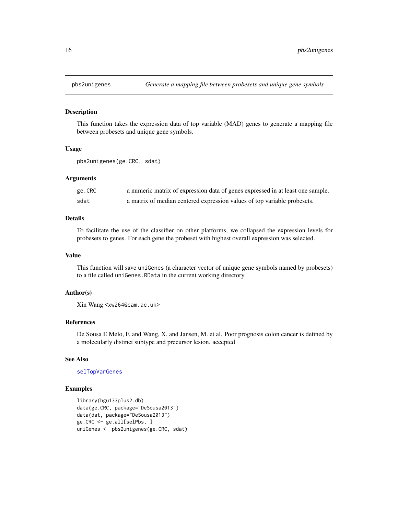<span id="page-15-1"></span><span id="page-15-0"></span>

#### Description

This function takes the expression data of top variable (MAD) genes to generate a mapping file between probesets and unique gene symbols.

#### Usage

pbs2unigenes(ge.CRC, sdat)

#### Arguments

| ge.CRC | a numeric matrix of expression data of genes expressed in at least one sample. |
|--------|--------------------------------------------------------------------------------|
| sdat   | a matrix of median centered expression values of top variable probesets.       |

#### Details

To facilitate the use of the classifier on other platforms, we collapsed the expression levels for probesets to genes. For each gene the probeset with highest overall expression was selected.

#### Value

This function will save uniGenes (a character vector of unique gene symbols named by probesets) to a file called uniGenes.RData in the current working directory.

#### Author(s)

Xin Wang <xw264@cam.ac.uk>

#### References

De Sousa E Melo, F. and Wang, X. and Jansen, M. et al. Poor prognosis colon cancer is defined by a molecularly distinct subtype and precursor lesion. accepted

#### See Also

#### [selTopVarGenes](#page-17-1)

```
library(hgu133plus2.db)
data(ge.CRC, package="DeSousa2013")
data(dat, package="DeSousa2013")
ge.CRC <- ge.all[selPbs, ]
uniGenes <- pbs2unigenes(ge.CRC, sdat)
```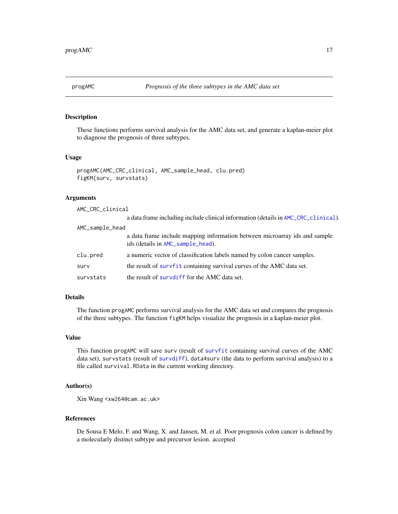<span id="page-16-1"></span><span id="page-16-0"></span>

#### Description

These functions performs survival analysis for the AMC data set, and generate a kaplan-meier plot to diagnose the prognosis of three subtypes.

#### Usage

```
progAMC(AMC_CRC_clinical, AMC_sample_head, clu.pred)
figKM(surv, survstats)
```
#### Arguments

| AMC_CRC_clinical |                                                                                                                 |
|------------------|-----------------------------------------------------------------------------------------------------------------|
|                  | a data frame including include clinical information (details in AMC_CRC_clinical).                              |
| AMC_sample_head  |                                                                                                                 |
|                  | a data frame include mapping information between microarray ids and sample<br>ids (details in AMC_sample_head). |
| clu.pred         | a numeric vector of classification labels named by colon cancer samples.                                        |
| surv             | the result of survfit containing survival curves of the AMC data set.                                           |
| survstats        | the result of surve of f for the AMC data set.                                                                  |

#### Details

The function progAMC performs survival analysis for the AMC data set and compares the prognosis of the three subtypes. The function figKM helps visualize the prognosis in a kaplan-meier plot.

#### Value

This function progAMC will save surv (result of [survfit](#page-0-0) containing survival curves of the AMC data set), survstats (result of [survdiff](#page-0-0)), data4surv (the data to perform survival analysis) to a file called survival.RData in the current working directory.

#### Author(s)

Xin Wang <xw264@cam.ac.uk>

#### References

De Sousa E Melo, F. and Wang, X. and Jansen, M. et al. Poor prognosis colon cancer is defined by a molecularly distinct subtype and precursor lesion. accepted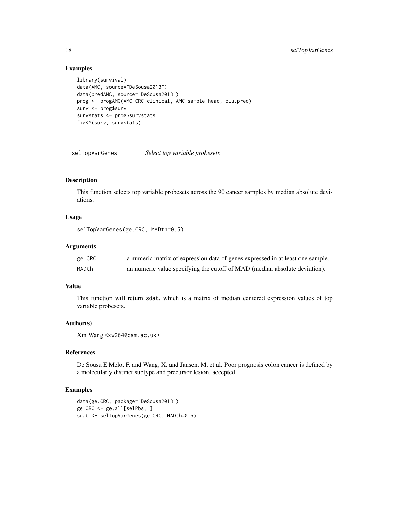#### Examples

```
library(survival)
data(AMC, source="DeSousa2013")
data(predAMC, source="DeSousa2013")
prog <- progAMC(AMC_CRC_clinical, AMC_sample_head, clu.pred)
surv <- prog$surv
survstats <- prog$survstats
figKM(surv, survstats)
```
<span id="page-17-1"></span>selTopVarGenes *Select top variable probesets*

#### Description

This function selects top variable probesets across the 90 cancer samples by median absolute deviations.

#### Usage

selTopVarGenes(ge.CRC, MADth=0.5)

#### Arguments

| ge.CRC | a numeric matrix of expression data of genes expressed in at least one sample. |
|--------|--------------------------------------------------------------------------------|
| MADth  | an numeric value specifying the cutoff of MAD (median absolute deviation).     |

#### Value

This function will return sdat, which is a matrix of median centered expression values of top variable probesets.

#### Author(s)

Xin Wang <xw264@cam.ac.uk>

#### References

De Sousa E Melo, F. and Wang, X. and Jansen, M. et al. Poor prognosis colon cancer is defined by a molecularly distinct subtype and precursor lesion. accepted

```
data(ge.CRC, package="DeSousa2013")
ge.CRC <- ge.all[selPbs, ]
sdat <- selTopVarGenes(ge.CRC, MADth=0.5)
```
<span id="page-17-0"></span>